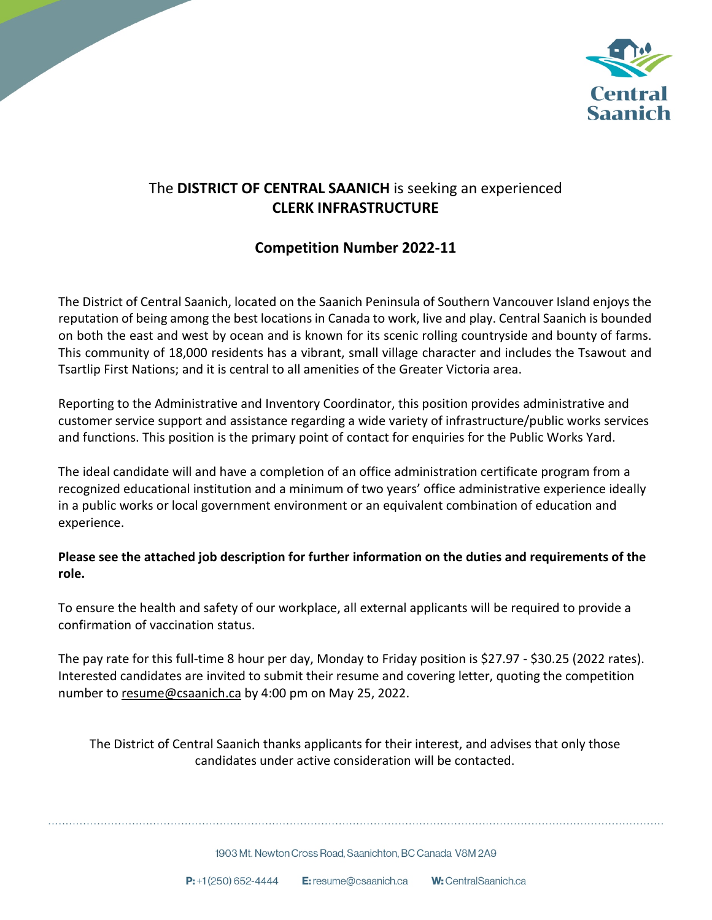

## The **DISTRICT OF CENTRAL SAANICH** is seeking an experienced **CLERK INFRASTRUCTURE**

## **Competition Number 2022-11**

The District of Central Saanich, located on the Saanich Peninsula of Southern Vancouver Island enjoys the reputation of being among the best locations in Canada to work, live and play. Central Saanich is bounded on both the east and west by ocean and is known for its scenic rolling countryside and bounty of farms. This community of 18,000 residents has a vibrant, small village character and includes the Tsawout and Tsartlip First Nations; and it is central to all amenities of the Greater Victoria area.

Reporting to the Administrative and Inventory Coordinator, this position provides administrative and customer service support and assistance regarding a wide variety of infrastructure/public works services and functions. This position is the primary point of contact for enquiries for the Public Works Yard.

The ideal candidate will and have a completion of an office administration certificate program from a recognized educational institution and a minimum of two years' office administrative experience ideally in a public works or local government environment or an equivalent combination of education and experience.

### **Please see the attached job description for further information on the duties and requirements of the role.**

To ensure the health and safety of our workplace, all external applicants will be required to provide a confirmation of vaccination status.

The pay rate for this full-time 8 hour per day, Monday to Friday position is \$27.97 - \$30.25 (2022 rates). Interested candidates are invited to submit their resume and covering letter, quoting the competition number to resume@csaanich.ca by 4:00 pm on May 25, 2022.

The District of Central Saanich thanks applicants for their interest, and advises that only those candidates under active consideration will be contacted.

1903 Mt. Newton Cross Road. Saanichton, BC Canada V8M 2A9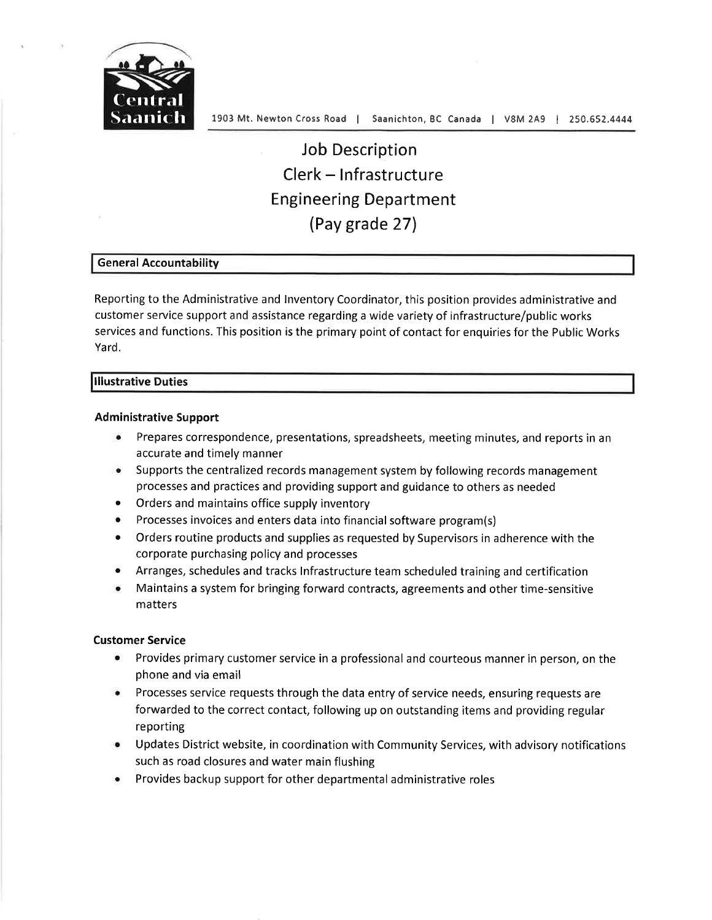

# **Job Description** Clerk - Infrastructure **Engineering Department** (Pay grade 27)

#### **General Accountability**

Reporting to the Administrative and Inventory Coordinator, this position provides administrative and customer service support and assistance regarding a wide variety of infrastructure/public works services and functions. This position is the primary point of contact for enquiries for the Public Works Yard.

#### **Illustrative Duties**

#### **Administrative Support**

- Prepares correspondence, presentations, spreadsheets, meeting minutes, and reports in an accurate and timely manner
- Supports the centralized records management system by following records management processes and practices and providing support and guidance to others as needed
- Orders and maintains office supply inventory
- Processes invoices and enters data into financial software program(s)
- Orders routine products and supplies as requested by Supervisors in adherence with the  $\bullet$ corporate purchasing policy and processes
- Arranges, schedules and tracks Infrastructure team scheduled training and certification
- Maintains a system for bringing forward contracts, agreements and other time-sensitive matters

#### **Customer Service**

- $\bullet$ Provides primary customer service in a professional and courteous manner in person, on the phone and via email
- Processes service requests through the data entry of service needs, ensuring requests are forwarded to the correct contact, following up on outstanding items and providing regular reporting
- Updates District website, in coordination with Community Services, with advisory notifications such as road closures and water main flushing
- Provides backup support for other departmental administrative roles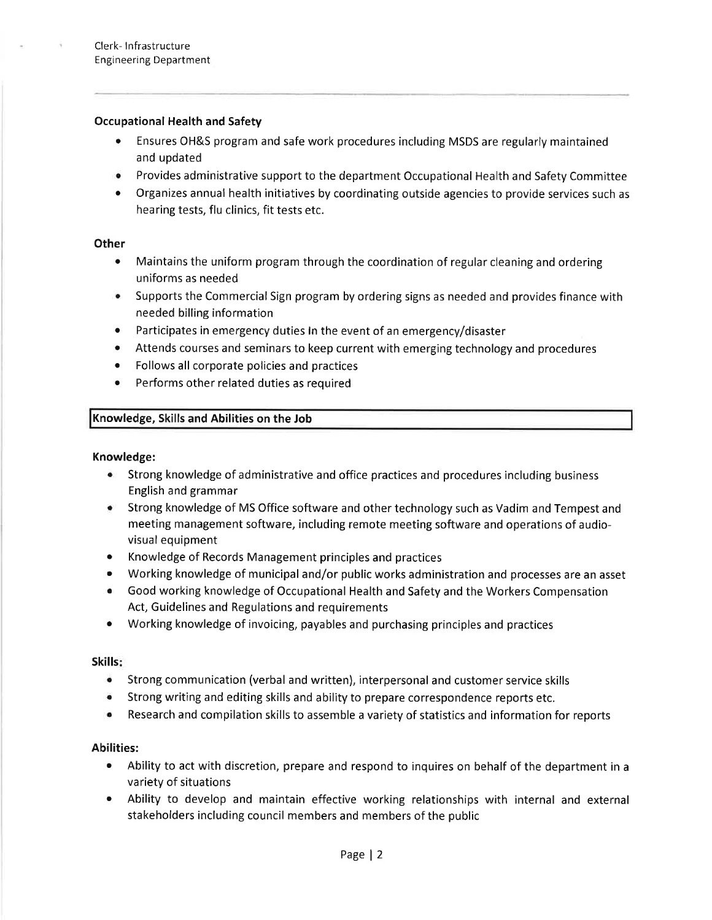#### **Occupational Health and Safety**

- Ensures OH&S program and safe work procedures including MSDS are regularly maintained and updated
- Provides administrative support to the department Occupational Health and Safety Committee
- Organizes annual health initiatives by coordinating outside agencies to provide services such as  $\bullet$ hearing tests, flu clinics, fit tests etc.

#### Other

- $\bullet$ Maintains the uniform program through the coordination of regular cleaning and ordering uniforms as needed
- Supports the Commercial Sign program by ordering signs as needed and provides finance with needed billing information
- $\bullet$ Participates in emergency duties In the event of an emergency/disaster
- Attends courses and seminars to keep current with emerging technology and procedures  $\bullet$
- $\bullet$ Follows all corporate policies and practices
- Performs other related duties as required  $\bullet$

#### Knowledge, Skills and Abilities on the Job

#### Knowledge:

- Strong knowledge of administrative and office practices and procedures including business English and grammar
- Strong knowledge of MS Office software and other technology such as Vadim and Tempest and meeting management software, including remote meeting software and operations of audiovisual equipment
- Knowledge of Records Management principles and practices  $\bullet$
- Working knowledge of municipal and/or public works administration and processes are an asset
- Good working knowledge of Occupational Health and Safety and the Workers Compensation Act, Guidelines and Regulations and requirements
- $\bullet$ Working knowledge of invoicing, payables and purchasing principles and practices

#### Skills:

- ۰ Strong communication (verbal and written), interpersonal and customer service skills
- Strong writing and editing skills and ability to prepare correspondence reports etc. ۰
- Research and compilation skills to assemble a variety of statistics and information for reports  $\bullet$

#### **Abilities:**

- Ability to act with discretion, prepare and respond to inquires on behalf of the department in a variety of situations
- Ability to develop and maintain effective working relationships with internal and external stakeholders including council members and members of the public